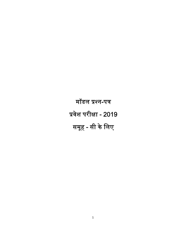मॉडल प्रश्न-पत्र प्रवेश परीक्षा - 2019 समूह - सी के लिए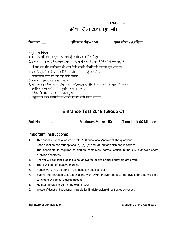पर᳤् पतर् कर्मांक...................................

# प्रवेश परीक्षा 2018 (ग्रुप सी)

रोल नंबर ..... अिधकतम अंक – 150 समय सीमा - 90 िमनट

## महत्वपूर्ण निर्देश

- 1. इस प्रश्न पुस्तिका में कुल 150 प्रश्न हैं। सभी प्रश्न अनिवार्य हैं।
- 2. प्रत्येक प्रश्न के चार वैकल्पिक उत्तर अ, ब, स और द दिए गये हैं जिनमें से एक सही है।
- 3. ओ.एम.आर. शीट उम्मीदवार को अलग से दी जाएगी, जिसमें सही उत्तर को पूरा भरना है।
- 4. प्रश्न के एक से अधिक उत्तर दिये गये तो वह स्वतः ही रद्द हो जाएगा।
- 5. उᱫर गलत होने पर अंक नहᱭ काटे जाएंगे।
- 6. रफ कार्य इस पुस्तिका में ही करना होगा।
- 7. यह प्रश्नपत्र परीक्षा खत्म होने के बाद ओ.एम.आर. शीट के साथ जमा करवाना है। अन्यथा उम्मीदवार को परीक्षा से अनुपिस्थत समझा जाएगा।
- 8. परीक्षा के दौरान अनुशासन बनाए रखें।
- 9. अनुवाद व अन्य विसंगति में अंग्रेजी का प्रश्न सही माना जाएगा।

# Entrance Test 2018 (Group C)

Roll No.............. Maximum Marks-150 Time Limit-90 Minutes

#### Important Instructions:

- 1. This question booklet contains total 150 questions. Answer all the questions.
- 2. Each question has four options (a), (b), (c) and (d), out of which one is correct.
- 3. The candidate is required to darken completely correct option in the OMR answer sheet supplied separately.
- 4. Answer will get cancelled if it is not answered or two or more answers are given.
- 5. There will be no negative marking.
- 6. Rough work may be done in this question booklet itself.
- 7. Submit the entrance test paper along with OMR answer sheet to the invigilator otherwise the candidate will be considered absent.
- 8. Maintain discipline during the examination.
- 9. In case of doubt or discrepancy in translation English version will be treated as correct.

#### Signature of the Invigilator Signature of the Candidate Signature of the Candidate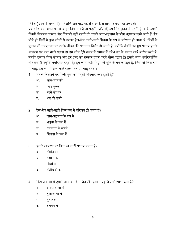## निर्देश ( प्रश्न 1- प्रश्न 4) : निम्नलिखित पाठ पढ़ें और इसके आधार पर प्रश्नों का उत्तर दें।

जब कोई युवा अपने घर से बाहर निकलता है तो पहली कठिनाई उसे मित्र चुनने में पड़ती है। यदि उसकी स्थिती बिलकुल एकांत और निराली नहीं रहती तो उसकी जान-पहचान के लोग धड़ाधड़ बढ़ते जाते हैं और थोड़े ही दिनों में कुछ लोगों से उसका हेल-मेल बढ़ते-बढ़ते मित्रता के रूप में परिणत हो जाता है। मित्रों के चुनाव की उपयुक्तता पर उसके जीवन की सफलता निर्भर हो जाती है, क्योंकि संगति का गुप्त प्रभाव हमार<mark>े</mark> आचरण पर बड़ा भारी पड़ता है। हम लोग ऐसे समय में समाज में प्रवेश कर के अपना कार्य आरंभ करते हैं, जबकि हमारा चित्त कोमल और हर तरह का संस्कार ग्रहण करने योग्य रहता है। हमारे भाव अपरिमार्जित और हमारी प्रवृत्ति अपरिपक्व रहती है। हम लोग कच्ची मिट्टी की मूर्ति के समान रहते हैं, जिसे जो जिस रूप में चाहे, उस रूप में ढाले-चाहे राक्षस बनाए, चाहे देवता।

- 1. घर से निकलने पर किसी युवा को पहली कठिनाई क्या होती है?
	- अ. खान-पान की
	- ब. मित्र चुनना
	- स. रहने को घर
	- द. धन की कमी
- 2. हेल-मेल बढ़ते-बढ़ते किस रूप में परिणत हो जाता है?
	- अ. जान-पहचान के रूप में
	- ब. शत्रुता के रूप में
	- स<sup>.</sup> सफलता के रूपमें
	- द. सित्रता के रूप में
- 3. हमारे आचरण पर िकस का भारी पर्भाव पड़ता ह? ै
	- अ. संगित का
	- ब. समाज का
	- स. मित्रों का
	- द. संबंधियों का
- 4. किस अवस्था में हमारे भाव अपरिमार्जित और हमारी प्रवृत्ति अपरिपक्व रहती है?
	- अ. बाल्यावस्था में
	- ब. वृद्धावस्था में
	- स. युवावस्था में
	- ट**. बचपन** में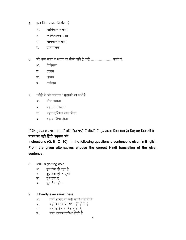- 5. फूल िकस पर्कार की संज्ञा है
	- अ. जाितवाचक संज्ञा
	- ब. व्यक्तिवाचक संज्ञा
	- स. भाववाचक संज्ञा
	- द. द्रव्यवाचक
- 6. जो शब्द संज्ञा के स्थान पर बोले जाते हैं उन्हें ………………. कहते हैं.
	- अ. िवशेषण
	- ब. तत्सम
	- स. अव्यय
	- द. सवर्नाम
- 7. "लोहे के चने चबाना " मुहावरे का अर्थ है
	- अ. दोष लगाना
	- ब. बहुत तंग करना
	- स. बहुत मुिश्कल काम होना
	- द. रहस्य िछपा होना

# तिर्देश ( प्रश्न 8 - प्रश्न 10):निम्नलिखित प्रश्नों में अंग्रेजी में एक वाक्य दिया गया है। दिए गए विकल्पों से वाक्य का सही हिंदी अनुवाद चुनें।

Instructions (Q. 8– Q. 10): In the following questions a sentence is given in English. From the given alternatives choose the correct Hindi translation of the given sentence.

- 8. Milk is getting cold
	- अ. दूध ठंडा हो रहा है
	- ब. दूध ठंडा हो जाएगी
	- स. दूध ठंडा है
	- द. दध ठंडा होगा
- 9. It hardly ever rains there.
	- अ. वहां शायद ही कभी बािरश होती है
	- ब. बहां अक्सर बारिश नहीं होती है
	- स. वहां किठन बािरश होती है
	- द. वहां अक्सर बािरश होती है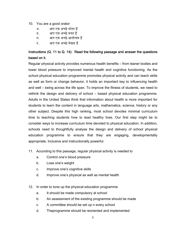- 10. You are a good orator
	- अ. आप एक अच्छे श्रोता हैं
	- ब. आप एक अच्छे वक्ता हैं
	- स. आप एक अच्छे आलोचक हैं
	- द. अाप एक अच्छे लेखक हैं

# Instructions (Q. 11 to Q. 14): Read the following passage and answer the questions based on it.

Regular physical activity provides numerous health benefits – from leaner bodies and lower blood pressure to improved mental health and cognitive functioning. As the school physical education programme promotes physical activity and can teach skills as well as form or change behavior, it holds an important key to influencing health and well – being across the life span. To improve the fitness of students, we need to rethink the design and delivery of school – based physical education programme. Adults in the United States think that information about health is more important for students to learn the content in language arts, mathematics, science, history or any other subject. Despite this high ranking, most school devotes minimal curriculum time to teaching students how to lead healthy lives. Our first step might be to consider ways to increase curriculum time devoted to physical education. In addition, schools need to thoughtfully analyse the design and delivery of school physical education programme to ensure that they are engaging, developmentally appropriate, Inclusive and instructionally powerful.

- 11. According to this passage, regular physical activity is needed to
	- a. Control one's blood pressure
	- b. Lose one's weight
	- c. Improve one's cognitive skills
	- d. Improve one's physical as well as mental health
- 12. In order to tone up the physical education programme
	- a. It should be made compulsory at school
	- b. An assessment of the existing programme should be made
	- c. A committee should be set up n every school
	- d. Theprogramme should be reoriented and implemented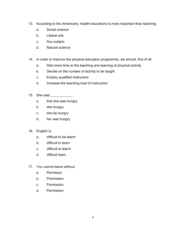- 13. According to the Americans, health educations is more important than teaching
	- a. Social science
	- b. Liberal arts
	- c. Any subject
	- d. Natural science
- 14. In order to improve the physical education programme, we should, first of all
	- a. Allot more time to the teaching and learning of physical activity
	- b. Decide on the number of activity to be taught
	- c. Employ qualified instructors
	- d. Increase the teaching load of instructors
- 15. She said
	- a. that she was hungry
	- b. she hungry
	- c. she be hungry
	- d. her was hungry
- 16. English is
	- a. difficult to be learnt
	- b. difficult to learn
	- c. difficult to learnt
	- d. difficult learn
- 17. You cannot leave without
	- a. Permision
	- b. Premission
	- c. Purmission
	- d. Permission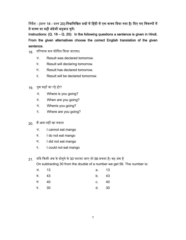त्तिर्देश : (प्रश्न 18 - प्रश्न 20):निम्नलिखित प्रश्नों में हिंदी में एक वाक्य दिया गया है। दिए गए विकल्पों में से वाक्य का सही अंग्रेजी अनुवाद चुनें।

Instructions: (Q. 18 – Q. 20): In the following questions a sentence is given in Hindi. From the given alternatives choose the correct English translation of the given sentence.

- 18. पिरणाम कल घोिषत िकया जाएगा।
	- अ. Result was declared tomorrow.
	- ब. Result will declaring tomorrow.
	- स. Result has declared tomorrow.
	- द. Result will be declared tomorrow.
- 19. तुम कहाँजा रह हो? े
	- अ. Where is you going?
	- ब. When are you going?
	- स. Whenis you going?
	- द. Where are you going?
- 20. मैं आम नहीं खा सकता
	- अ. I cannot eat mango
	- ब. I do not eat mango
	- स. I did not eat mango
	- द. I could not eat mango

21. यदि किसी अंक के दोगुने से 30 घटाया जाए तो 56 बचता है। वह अंक है

On subtracting 30 from the double of a number we get 56. The number is:

| अ. 13 |      | a. 13 |     |
|-------|------|-------|-----|
| ब. 43 |      | b. 43 |     |
| स     | - 40 | C.    | -40 |
| द. 30 |      | d.    | -30 |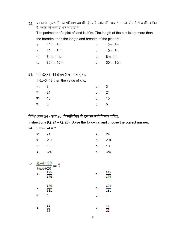- 22. जमीन के एक प्लॉट का परिमाप 40 मी. है। यदि प्लॉट की लम्बाई उसकी चौड़ाई से 4 मी. अधिक है। प्लॉट की लम्बाई और चौड़ाई है: The perimeter of a plot of land is 40m. The length of the plot is 4m more than the breadth, then the length and breadth of the plot are: अ. 12मी., 8मी. ब. 10मी., 6मी. स. 8मी., 4मी. a. 12m, 8m b. 10m, 6m c. 8m, 4m
	- द. 30मी., 10मी. d. 30m, 10m
- 23. यदि 5X+3=18 है तब X का मान होगा:

If  $5x+3=18$  then the value of x is:

| अ. 3  | a. 3    |     |
|-------|---------|-----|
| ब. 21 | b. 21   |     |
| स. 15 | c. $15$ |     |
| द. 5  | d.      | - 5 |

त्तिर्देश (प्रश्न 24 - प्रश्न 26):निम्नलिखित को हल कर सही विकल्प चुनिए:

Instructions (Q. 24 – Q. 26): Solve the following and choose the correct answer:

| $24. 5+3^2-6x4 = ?$ |  |
|---------------------|--|
|---------------------|--|

| अ. 24  | a. 24     |  |
|--------|-----------|--|
| ब. -10 | $b.  -10$ |  |
| स. 10  | c. 10     |  |
| द. -24 | d. -24    |  |

| 25. | $16x4 + 20$ | $\frac{1/2+4+20}{2}$ = ? |    |            |
|-----|-------------|--------------------------|----|------------|
|     | अ.          | 161<br>176               | a. | 161<br>176 |
|     | ब.          | 176<br>161               | b. | 176<br>161 |
|     | स.          | 1                        | С. | 1          |
|     | द.          | 12<br>22                 | d. | 22         |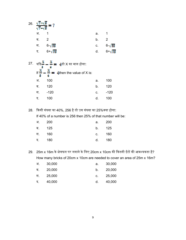| 26. $\frac{\sqrt{7}+\sqrt{5}}{\sqrt{7}-\sqrt{5}}=7$ |                  |      |                         |  |  |
|-----------------------------------------------------|------------------|------|-------------------------|--|--|
| अ. 1                                                |                  | a. 1 |                         |  |  |
| ब. 2                                                |                  | b.   | $\overline{\mathbf{2}}$ |  |  |
|                                                     | स 6- $\sqrt{35}$ |      | c. $6-\sqrt{35}$        |  |  |
|                                                     | द $6+\sqrt{35}$  | d.   | $6 - \sqrt{35}$         |  |  |

|    | 27.   यदि— — — <del>—</del> <del>4</del> तो X का मान होगा: |    |      |
|----|------------------------------------------------------------|----|------|
|    | If $\frac{x}{s} - \frac{x}{s} = 4$ then the value of X is: |    |      |
| अ. | 100                                                        | a. | 100  |
| ब. | 120                                                        | b. | 120  |
| स. | -120                                                       | C. | -120 |
| द. | 100                                                        | d. | 100  |

28. किसी संख्या का 40%, 256 है तो उस संख्या का 25%क्या होगा:

If 40% of a number is 256 then 25% of that number will be:

| अ. 200 | а. –     | - 200 |
|--------|----------|-------|
| ब. 125 | b. 125   |       |
| स. 160 | c. $160$ |       |
| द. 180 | d. 180   |       |

29. 25m x 16m के क्षेत्रफल पर लगाने के लिए 20cm x 10cm की कितनी ईंटों की आवश्यकता है? How many bricks of 20cm x 10cm are needed to cover an area of 25m x 16m?

| अ. | 30,000 | а. | 30,000 |
|----|--------|----|--------|
| ब  | 20,000 | b. | 20,000 |
| स. | 25,000 | C. | 25,000 |
| द. | 40,000 | d. | 40,000 |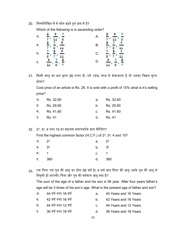30. निम्नलिखित में से कौन बढ़ते हुए क्रम में है?

Which of the following is in ascending order?

| अ. | $\frac{9}{11}$<br>7<br>Ł<br>7<br>g<br>Б              | A. | r<br>S<br>b,<br>$\frac{9}{11}$<br>$\overline{\mathbf{r}}$<br>b |
|----|------------------------------------------------------|----|----------------------------------------------------------------|
| ब. | Ľ<br>7<br>8<br>9<br>7<br>B<br>$\overline{11}$<br>b   | В. | $\frac{7}{8}$<br>b<br>T<br>$\frac{9}{11}$<br>b<br>×            |
| स. | $\frac{9}{11}$<br>8<br>7<br>7<br>8<br>b              | С. | $\frac{9}{11}$<br>bi<br>7<br>7<br>8<br>b<br>×                  |
| द. | Ď<br>$\frac{9}{11}$<br>$\mathbf{z}$<br>8 '<br>7<br>ı | D. | þ<br>$\frac{9}{11}$<br>$\frac{7}{8}$<br>Ŧ<br>×<br>Б            |

31. किसी वस्तु का क्रय मूल्य 26 रूपए है। उसे 15% लाभ से बेचाजाता है तो उसका विक्रय मूल्य होगा?

Cost price of an article is Rs. 26. It is sold with a profit of 15% what is it's selling price?

| अ. Rs. 32.60 | a. | Rs. 32.60    |
|--------------|----|--------------|
| ब Rs. 29.90  |    | b. Rs. 29.90 |
| स. Rs. 41.60 |    | c. Rs. 41.60 |
| दRs.41       |    | d. Rs. $41$  |

32. 23, 32, 4 तथा 15 का महत्तम समापवर्तक ज्ञात कीजिए?

Find the highest common factor (H.C.F.) of 23, 32, 4 and 15?

| अ. 23  | a. $2^3$ |     |
|--------|----------|-----|
| ब. 32  | b. $3^2$ |     |
| स. 1   | c. 1     |     |
| द. 360 | d. l     | 360 |

33. एक पिता एवं पुत्र की आयु का योग 56 वर्ष है। 4 वर्ष बाद पिता की आयु उसके पुत्र की आयु से तिगुनी हो जाएगी। पिता और पुत्र की वर्तमान आयु क्या है?

The sum of the age of a father and his son is 56 year. After four years father's age will be 3 times of his son's age. What is the present age of father and son?

- अ. 44 वषर् तथा 16 वषर् a. 44 Years and 16 Years
- ब. 42 वर्ष तथा 16 वर्ष b. 42 Years and 16 Years
- स. 44 वर्ष तथा 12 वर्ष c. 44 Years and 12 Years
- द. 36 वर्ष तथा 18 वर्ष d. 36 Years and 18 Years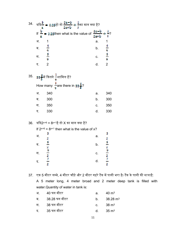| 34. |    | यदि <mark>० = 0.35</mark> हो तो $\frac{2a-b}{2a+b}$ + $\frac{2}{9}$ का मान क्या है? |                |         |
|-----|----|-------------------------------------------------------------------------------------|----------------|---------|
|     |    | If $\frac{2}{\pi}$ = 0.25 then what is the value of                                 | 2a-b<br>$2a+b$ |         |
|     | अ. |                                                                                     | а.             |         |
|     | ब. |                                                                                     | b.             | 9       |
|     | स. |                                                                                     | C.             | Ţ,<br>9 |
|     | द  |                                                                                     |                |         |

 $35.$  53 <mark>ई</mark> में कितने  $\frac{1}{9}$ शामिल हैं? How many  $\frac{1}{9}$  are there in 33 $\frac{5}{3}$ ? अ. 340 ब. 300 स. 350 द. 330 a. 340 b. 300 c. 350 d. 330

36. यदि2×+6 = 8×+1है तो X का मान क्या है?

If  $2^{x+6} = 8^{x+1}$  then what is the value of x?

| अ. | з<br>2             | а. | 3<br>2                                     |
|----|--------------------|----|--------------------------------------------|
| ब. | S<br>$\frac{1}{2}$ | b. | Ś.<br>$\frac{1}{2}$                        |
| स. | 9<br>$\frac{1}{2}$ | С. | 9<br>$\overline{\phantom{0}}$<br>$\bar{z}$ |
| द. | 7<br>$\bar{z}$     | d. | 7<br>$\overline{\mathbf{z}}$               |
|    |                    |    |                                            |

37. एक 5 मीटर लम्बे, 4 मीटर चौड़े और 2 मीटर गहरे टैंक में पानी भरा है। टैंक के पानी की मात्राहै:

A 5 meter long, 4 meter broad and 2 meter deep tank is filled with water.Quantity of water in tank is:

|   | अ. 40 घन मीटर | а.  | $40~\rm m^3$        |
|---|---------------|-----|---------------------|
| ब | 38.28 घन मीटर | h — | $38.28 \text{ m}^3$ |
|   | स. 38 घन मीटर |     | c. $38 \text{ m}^3$ |
|   | द. 35 घन मीटर | d l | $35 \text{ m}^3$    |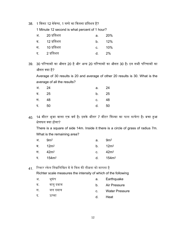38. 1 मिनट 12 सेकेण्ड, 1 घण्टे का कितना प्रतिशत है?

1 Minute 12 second is what percent of 1 hour?

| अ. 20 प्रतिशत | a. | - 20%     |
|---------------|----|-----------|
| ब. 12 प्रतिशत |    | b. $12\%$ |
| स. 10 प्रतिशत |    | c. $10\%$ |
| द. 2 प्रतिशत  | d. | $2\%$     |

39. 30 परिणामों का औसत 20 है और अन्य 20 परिणामों का औसत 30 है। इन सभी परिणामों का औसत क्या है?

Average of 30 results is 20 and average of other 20 results is 30. What is the average of all the results?

| अ. 24 | а. —  | 24  |
|-------|-------|-----|
| ब. 25 | b. 25 |     |
| स. 48 | C.    | -48 |
| द. 50 | d.    | 50  |

40. 14 मीटर भुजा वाला एक वर्ग है। इसके भीतर 7 मीटर त्रिज्या का घास काघेरा है। बचा हुआ क्षेत्रफल क्या होगा?

There is a square of side 14m. Inside it there is a circle of grass of radius 7m. What is the remaining area?

|  | अ. 9m <sup>2</sup>  | а. — | $9m^2$      |
|--|---------------------|------|-------------|
|  | ब. 12m <sup>2</sup> |      | b. $12m^2$  |
|  | स. 42m <sup>2</sup> |      | c. $42m^2$  |
|  | द. $154m^2$         |      | d. $154m^2$ |

 $41$ . रिक्टर स्केल निम्नलिखित में से किस की तीव्रता को मापता है

Richter scale measures the intensity of which of the following

| अ. | भकप       | а.          | Earthquake            |
|----|-----------|-------------|-----------------------|
| ब. | वायु दबाव | b.          | Air Pressure          |
| स  | जल दबाव   | $C_{\cdot}$ | <b>Water Pressure</b> |
| द. | ऊष्मा     |             | Heat                  |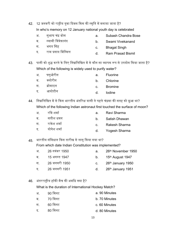42. 12 जनवरी को राष्ट्रीय युवा दिवस किस की स्मृति में मनाया जाता है?

In who's memory on 12 January national youth day is celebrated

- अ. सुभाष चंदर् बोस
- ब. स्वामी िववेकानंद
- स. भगत िसह
- द. राम पर्साद िबिस्मल

43. पानी को शुद्ध करने के लिए निम्नलिखित में से कौन सा व्यापक रूप से उपयोग किया जाता है? Which of the following is widely used to purify water?

- अ. फ्लुओरीन ब. क्लोरीन स. बर्ोमाइन a. Fluorine b. Chlorine c. Bromine
- द. आयोडीन d. Iodine

44. निम्नलिखित में से किस भारतीय अंतरिक्ष यात्री ने पहले चंद्रमा की सतह को छुआ था? Which of the following Indian astronaut first touched the surface of moon?

|     | अ. रविशर्मा    | а.             | Ravi Sharma      |
|-----|----------------|----------------|------------------|
| ਕ ਕ | सतीश धवन       | h —            | Satish Dhawan    |
| स । | राकेश शर्मा    | $\mathbf{C}$ . | Rakesh Sharma    |
|     | द. योगेश शर्मा |                | d. Yogesh Sharma |

45. भारतीय संविधान किस तारीख से लागू किया गया था?

From which date Indian Constitution was implemented?

- अ. 26 नवंबर 1950 ब. 15 अगस्त 1947 स. 26 जनवरी 1950 द. 26 जनवरी 1951 a. 26th November 1950 b.  $15<sup>th</sup>$  August 1947 c.  $26<sup>th</sup>$  January 1950 d.  $26<sup>th</sup>$  January 1951
- 46. अंतररा᳦ीय हॉकी मैच की अविध क्या ह? ै

What is the duration of International Hockey Match?

- अ. 90 िमनट a. 90 Minutes
- ब. 70 िमनट b. 70 Minutes
- स. 60 िमनट c. 60 Minutes
- द. 80 िमनट d. 80 Minutes
- a. Subash Chandra Bose
- b. Swami Vivekanand
- c. Bhagat Singh
- d. Ram Prasad Bismil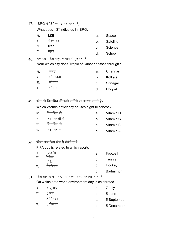47. ISRO में "S" क्या इंगित करता है

What does "S" indicates in ISRO.

- अ. LiSl a. Space
- ब. सैटेलाइट b. Satellite
- स. lkabl c. Science
- द. स्कूल d. School

# 48. ककर् रेखा िकस शहर के पास से गुजरती है Near which city does Tropic of Cancer passes through?

| अ. | चेन्नई  | a. | Chennai       |
|----|---------|----|---------------|
| ਕ  | कोलकाता | b. | Kolkata       |
| स. | श्रीनगर | C. | Srinagar      |
| द. | भोपाल   | d. | <b>Bhopal</b> |

49. कौन सी विटामिन की कमी रतौंधी का कारण बनती है?

Which vitamin deficiency causes night blindness?

| अ. विटामिन डी   | а. – | Vitamin D    |
|-----------------|------|--------------|
| ब. विटामिनसी सी |      | b. Vitamin C |
| स. विटामिन बी   |      | c. Vitamin B |
| द. विटामिन ए    |      | d. Vitamin A |

## 50. फीफा कप िकस खेल सेसंबंिधत है

FIFA cup is related to which sports

| अ.       | फुटबॉल        | а.      | Football         |
|----------|---------------|---------|------------------|
| ब.<br>स. | टेनिस<br>हॉकी | $b_{-}$ | Tennis           |
| द.       | बैडमिंटन      | C.      | Hockey           |
|          |               | d.      | <b>Badminton</b> |

 $51$  किस तारीख को विश्व पर्यावरण दिवस मनाया जाता है On which date world environment day is celebrated

|    | अ. 7 जुलाई |    | a. 7 July      |
|----|------------|----|----------------|
| ब. | 5 जून      | b. | 5 June         |
| स. | 5 सितंबर   |    | c. 5 September |
| द. | 5 दिसंबर   | d. | 5 December     |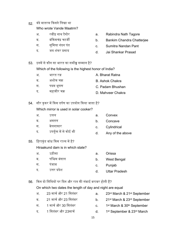52. वंदे मातरम िकसने िलखा था

Who wrote Vande Maatrm?

- अ. रबींद नाथ टैगोर
- ब. बंकिमचंद्र चटर्जी
- स. समित्रा नंदन पंत
- द. जय शंकर पर्साद
- a. Rabindra Nath Tagore
- b. Bankim Chandra Chatterjee
- c. Sumitra Nandan Pant
- d. Jai Shankar Prasad
- 53. इनमें से कौन सा भारत का सर्वोच्च सम्मान है?

Which of the following is the highest honor of India?

- अ. भारत रत्न A. Bharat Ratna
- ब. अशोक चकर् B. Ashok Chakra
- स. पदम भूषण C. Padam Bhushan
- द. महावीर चक्र D. Mahveer Chakra
- 54. सौर कुकर में किस दर्पण का उपयोग किया जाता है?

Which mirror is used in solar cooker?

- अ. उत्तल ब. अवतल a. Convex b. Concave
- स. बेलनाकार
- द. उपर्युक्त में से कोई भी
- 55. हिराकुंड बांध किस राज्य में है?

Hiraakund dam is in which state?

- अ. उड़ीसा a. Orissa
- ब. पश्चिम बंगाल b. West Bengal
- स. पंजाब c. Punjab
- द. उᱫर पर्देश d. Uttar Pradesh
- 56. किन दो तिथियों पर दिन और रात की लंबाई बराबर होती हैं?

On which two dates the length of day and night are equal

- अ. 23 मार्च और 21 सितंबर a. 23rd March & 21st September
- ब. 21 माचर् और 23 िसतंबर b. 21st March & 23rd September
- स. 1 माचर् और 30 िसतंबर c. 1st March & 30th September
- द. 1 सितंबर और 23मार्च d. 1st September & 23rd March
- 
- 
- 
- 
- c. Cylindrical
- d. Any of the above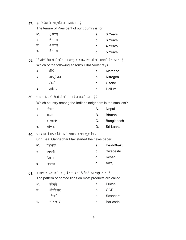57. हमारे देश के राष्ट्रपति का कार्यकाल है

The tenure of President of our country is for

| अ. | 8 साल | a. | 8 Years |
|----|-------|----|---------|
| ब. | 6 साल | b. | 6 Years |
| स. | 4 साल | C. | 4 Years |
| द. | 5 साल | d. | 5 Years |

58. निम्नलिखित में से कौन सा अल्ट्रावायलेट किरणों को अवशोषित करता है Which of the following absorbs Ultra Violet rays

| अ. | मीथेन     | а.          | Methane  |
|----|-----------|-------------|----------|
| ब. | नाइट्रोजन | b.          | Nitrogen |
| स. | ओजोन      | $C_{\cdot}$ | Ozone    |
| द. | हीलियम    | d.          | Helium   |

59. भारत के पड़ोसियों में कौन सा देश सबसे छोटा है?

Which country among the Indians neighbors is the smallest?

| अ. | नेपाल      | A.          | Nepal         |
|----|------------|-------------|---------------|
| ब. | भटान       | B.          | <b>Bhutan</b> |
| स. | बांग्लादेश | $C_{\cdot}$ | Bangladesh    |
| द. | श्रीलंका   | D.          | Sri Lanka     |

60. शर्ी बाल गंगाधर ितलक ने समाचार पतर् शुरू िकया

Shri Baal GangadharTilak started the news paper

| अ.   | देशभक्त | a.          | DeshBhakt |
|------|---------|-------------|-----------|
| ब. । | स्वदेशी | $b_{\rm m}$ | Swadeshi  |
| स.   | केसरी   |             | c. Kesari |
| द.   | आवाज    | d.          | Awaj      |

 $61.$  अधिकांश उत्पादों पर मुद्रित लाइनों के पैटर्न को कहा जाता है: The pattern of printed lines on most products are called

| अ. | कीमतें   | а.          | Prices     |
|----|----------|-------------|------------|
| ब. | ओसीआर    | $b_{-}$     | <b>OCR</b> |
| स  | स्कैनर्स | $C_{\cdot}$ | Scanners   |
| द. | बार कोड  | d.          | Bar code   |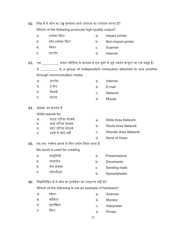| 62. | निम्न में से कौन सा उच्च गुणवत्ता वाले उत्पादन का उत्पादन करता है? |                                                       |    |                                                                                           |  |
|-----|--------------------------------------------------------------------|-------------------------------------------------------|----|-------------------------------------------------------------------------------------------|--|
|     | Which of the following produces high-quality output?               |                                                       |    |                                                                                           |  |
|     | अ.                                                                 | इम्पेक्ट प्रिंटर                                      | a. | Impact printer                                                                            |  |
|     | ब.                                                                 | नॉन-इम्पेक्ट प्रिंटर                                  | b. | Non-impact printer                                                                        |  |
|     | स.                                                                 | स्कैनर                                                | C. | Scanner                                                                                   |  |
|     | द.                                                                 | इंटरनेट                                               | d. | Internet                                                                                  |  |
| 63. |                                                                    |                                                       |    | एक _________ संचार मीडिया के माध्यम से एक दूसरे से जुड़े स्वतंत्र कंप्यूटर का एक समूह है। |  |
|     |                                                                    |                                                       |    | A __________ is a group of independent computers attached to one another                  |  |
|     |                                                                    | through communication media.                          |    |                                                                                           |  |
|     | अ. इंटरनेट                                                         |                                                       | a. | Internet                                                                                  |  |
|     | ब. ई-मेल                                                           |                                                       | b. | E-mail                                                                                    |  |
|     | स. नेटवर्क                                                         |                                                       | C. | <b>Network</b>                                                                            |  |
|     | द.                                                                 | माउस                                                  | d. | Mouse                                                                                     |  |
| 64. |                                                                    | WAN का मतलब है                                        |    |                                                                                           |  |
|     | WAN stands for                                                     |                                                       |    |                                                                                           |  |
|     | अ.                                                                 | वाइड एरिया नेटवर्क                                    | a. | <b>Wide Area Network</b>                                                                  |  |
|     |                                                                    | ब. वर्ल्ड एरिया नेटवर्क<br>स. वंडर एरिया नेटवर्क      | b. | <b>World Area Network</b>                                                                 |  |
|     |                                                                    | द. इनमे से कोई नहीं                                   | C. | <b>Wonder Area Network</b>                                                                |  |
|     |                                                                    |                                                       | d. | None of these                                                                             |  |
| 65. |                                                                    | एम.एस. एक्सेल बनाने के लिए प्रयोग किया जाता है        |    |                                                                                           |  |
|     |                                                                    | Ms excel is used for creating                         |    |                                                                                           |  |
|     | <b>अ.</b>                                                          | प्रस्तुतियों                                          | a. | Presentations                                                                             |  |
|     | ब.                                                                 | दस्तावेज                                              | b. | Documents                                                                                 |  |
|     | स.                                                                 | मेल भेजना                                             | C. | Sending mails                                                                             |  |
|     | द.                                                                 | स्प्रेडशीट्स                                          | d. | Spreadsheets                                                                              |  |
| 66. |                                                                    | निम्नलिखित में से कौन सा हार्डवेयर का उदाहरण नहीं है? |    |                                                                                           |  |
|     |                                                                    | Which of the following is not an example of hardware? |    |                                                                                           |  |
|     | अ.                                                                 | स्कैनर                                                | a. | Scanner                                                                                   |  |
|     | ब.                                                                 | मॉनिटर                                                | b. | Monitor                                                                                   |  |
|     | स.                                                                 | इंटरप्रिटर                                            | C. | Interpreter                                                                               |  |
|     | द.                                                                 | प्रिंटर                                               | d. | Printer                                                                                   |  |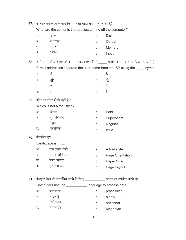| 67. | कंप्यूटर बंद करने के बाद किसमें रखा डाटा समाप्त हो जाता है?   |                                                                         |    |                                                                                        |  |
|-----|---------------------------------------------------------------|-------------------------------------------------------------------------|----|----------------------------------------------------------------------------------------|--|
|     | What are the contents that are lost turning off the computer? |                                                                         |    |                                                                                        |  |
|     | अ.                                                            | डिस्क                                                                   | a. | <b>Disk</b>                                                                            |  |
|     | ब.                                                            | आउटपुट                                                                  | b. | Output                                                                                 |  |
|     | स.                                                            | मेमोरी                                                                  | C. | Memory                                                                                 |  |
|     | द.                                                            | इनपुट                                                                   | d. | Input                                                                                  |  |
| 68. |                                                               |                                                                         |    | ई-मेल पते में उपयोगकर्ता के नाम को आईएसपी से _____ प्रतीक का उपयोग करके अलग करते हैं । |  |
|     |                                                               |                                                                         |    | E-mail addresses separate the user name from the ISP using the _____ symbol.           |  |
|     | अ.                                                            | \$                                                                      | a. | \$                                                                                     |  |
|     | ब.                                                            | $^{\textregistered}$                                                    | b. | $^{\textregistered}$                                                                   |  |
|     | स.                                                            | ٨                                                                       | C. | ٨                                                                                      |  |
|     | द.                                                            | Ţ                                                                       | d. | Ţ                                                                                      |  |
| 69. |                                                               | कौन सा फ़ॉन्ट शैली नहीं है?                                             |    |                                                                                        |  |
|     |                                                               | Which is not a font style?                                              |    |                                                                                        |  |
|     | अ.                                                            | बोल्ड                                                                   | a. | <b>Bold</b>                                                                            |  |
|     | ब.                                                            | सुपरस्क्रिप्ट                                                           | b. | Superscript                                                                            |  |
|     | स.                                                            | रेगुलर                                                                  | C. | Regular                                                                                |  |
|     | द.                                                            | इटालिक                                                                  | d. | Italic                                                                                 |  |
| 70. | लैंडस्केप है?                                                 |                                                                         |    |                                                                                        |  |
|     |                                                               | Landscape is                                                            |    |                                                                                        |  |
|     | अ.                                                            | एक फ़ॉन्ट शैली                                                          | a. | A font style                                                                           |  |
|     | ब.                                                            | पृष्ठ अभिविन्यास                                                        | b. | Page Orientation                                                                       |  |
|     | स.                                                            | पेपर आकार                                                               |    | c. Paper Size                                                                          |  |
|     | द.                                                            | पृष्ठ लेआउट                                                             | d. | Page Layout                                                                            |  |
| 71. |                                                               | कंप्यूटर डेटा को संसाधित करने के लिए __________ भाषा का उपयोग करते हैं। |    |                                                                                        |  |
|     |                                                               | Computers use the _____________ language to process data.               |    |                                                                                        |  |
|     | अ.                                                            | प्रसंस्करण                                                              | a. | processing                                                                             |  |
|     | ब.                                                            | बाइनरी                                                                  | b. | binary                                                                                 |  |
|     | स.                                                            | रिलेशनल                                                                 | C. | relational                                                                             |  |
|     | द.                                                            | मेगाबाइट                                                                |    |                                                                                        |  |
|     |                                                               |                                                                         | d. | Megabyte                                                                               |  |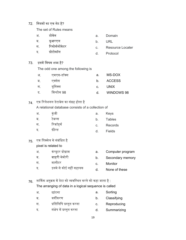#### 72. नियमों का एक सेट है?

The set of Rules means

| अ. | डामन   | а. | Domain     |
|----|--------|----|------------|
| ब. | यूआरएल |    | <b>URL</b> |

- स. रिसोर्सलोकेटर c. Resource Locater
- द. पर्ोटोकॉल d. Protocol

#### 73. इसमें विषम शब्द है?

The odd one among the following is

| अ. | एमएस-डॉक्स | a.             | MS-DOX     |
|----|------------|----------------|------------|
| ब. | एक्सेस     | b.             | ACCESS     |
| .स | युनिक्स    | $C_{\rm{eff}}$ | UNIX       |
| द. | विन्डोस 98 | d.             | WINDOWS 98 |

#### 74. एक िरलेशनल डेटाबेस का संगर्ह होता है

A relational database consists of a collection of

| अ. | कंजी      | а. | Keys          |
|----|-----------|----|---------------|
| ब. | टेबल्स    | b. | <b>Tables</b> |
| स. | रिकॉर्ड्स | C. | Records       |
| द. | फ़ील्ड    | d. | <b>Fields</b> |

## 75. एक िपक्सेल से संबंिधत है pixel is related to

- अ. कंप्यूटर प्रोग्राम a. Computer program
- ब. बाहरी मेमोरी b. Secondary memory
- स. मानीटर c. Monitor
- द. इनमे से कोई नहᱭ सहायक
- d. None of these
- $76.$  तार्किक अनुक्रम में डेटा को व्यवस्थित करने को कहा जाता है : The arranging of data in a logical sequence is called
	- अ. छांटना ब. वर्गीकरण स. प्रतिलिपि प्रस्तुत करना द. संक्षेप में प्रस्तुत करना a. Sorting b. Classifying c. Reproducing d. Summarizing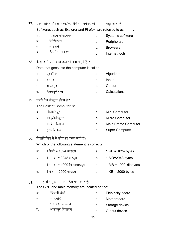| 77. | एक्सप्लोरर और फ़ायरफ़ॉक्स जैसे सॉफ़्टवेयर को ____ कहा जाता है।    |                                                |    |                                         |  |
|-----|-------------------------------------------------------------------|------------------------------------------------|----|-----------------------------------------|--|
|     | Software, such as Explorer and Firefox, are referred to as _____. |                                                |    |                                         |  |
|     | अ.                                                                | सिस्टम सॉफ्टवेयर                               | a. | Systems software                        |  |
|     | ब.                                                                | पेरिफेरल्स                                     | b. | Peripherals                             |  |
|     | स. ।                                                              | ब्राउज़र्स                                     | C. | <b>Browsers</b>                         |  |
|     | द.                                                                | इंटरनेट उपकरण                                  | d. | Internet tools                          |  |
| 78. |                                                                   | कंप्यूटर में जाने वाले डेटा को क्या कहते हैं ? |    |                                         |  |
|     |                                                                   | Data that goes into the computer is called     |    |                                         |  |
|     | अ.                                                                | एल्गोरिथ्म                                     | a. | Algorithm                               |  |
|     | ब.                                                                | इनपुट                                          | b. | Input                                   |  |
|     |                                                                   | स. आउटपुट                                      | C. | Output                                  |  |
|     |                                                                   | द. कैलक्युलेशन्स                               | d. | Calculations                            |  |
|     | 79. सबसे तेज कंप्यूटर होता है?                                    |                                                |    |                                         |  |
|     | The Fastest Computer is:                                          |                                                |    |                                         |  |
|     | अ.                                                                | मिनीकंप्यूटर                                   | a. | Mini Computer                           |  |
|     |                                                                   | ब. माइक्रोकंप्यूटर                             | b. | Micro Computer                          |  |
|     |                                                                   | स. मेनफ्रेमकंप्यूटर                            | c. | Main Frame Computer                     |  |
|     | <b>द.</b>                                                         | सुपरकंप्यूटर                                   | d. | <b>Super Computer</b>                   |  |
| 80. |                                                                   | निम्नलिखित में से कौन सा कथन सही है?           |    |                                         |  |
|     |                                                                   | Which of the following statement is correct?   |    |                                         |  |
|     | अ.                                                                | 1 केबी = 1024 बाइट्स                           | a. | $1 KB = 1024 bytes$                     |  |
|     | ब.                                                                | 1 एमबी = 2048बाइट्स                            | b. | 1 MB=2048 bytes                         |  |
|     | स.                                                                | 1 एमबी = 1000 किलोबाइट्स                       | c. | $1 \text{ MB} = 1000 \text{ kilobytes}$ |  |
|     | द.                                                                | 1 केबी = 2000 बाइट्स                           | d. | $1 KB = 2000 bytes$                     |  |
| 81. |                                                                   | सीपीयू और मुख्य मेमोरी किस पर स्थित है:        |    |                                         |  |
|     | The CPU and main memory are located on the:                       |                                                |    |                                         |  |

| अ  | बिजली बोर्ड   | а. | <b>Electricity board</b> |
|----|---------------|----|--------------------------|
| ब. | मदरबोर्ड      | h. | Motherboard.             |
| स  | भंडारण उपकरण  | C. | Storage device           |
| द. | आउटपुट डिवाइस |    | Output device            |

d. Output device.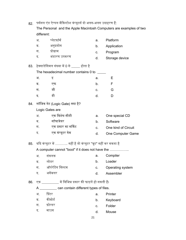82. पर्सनल एंड ऐप्पल मैकिन्टोश कंप्यूटर्स दो अलग-अलग उदाहरण हैं: The Personal and the Apple Macintosh Computers are examples of two different: अ. प्लेटफॉमर् ब. अनुपर्योग स. पर्ोगर्ाम द. भंडारण उपकरण a. Platform b. Application c. Program d. Storage device 83. हेक्साडेसिमल संख्या में 0 से \_\_\_\_ होता है The hexadecimal number contains 0 to \_\_\_\_\_ अ. इ ब. एफ स. जी द. डी a. E b. F c. G d. D 84. लॉिजक गेट (Logic Gate) क्या ह? ै Logic Gates are अ. एक िवशेष सीडी ब. सॉफ्टवेयर स. एक पर्कार का सिकट द. एक कंप्यूटर गेम a. One special CD b. Software c. One kind of Circuit d. One Computer Game 85. यदि कंप्यूटर में ……….. नहीं है तो कंप्यूटर "बूट" नहीं कर सकता है A computer cannot "boot" if it does not have the …………….. अ. संकलक ब. लोडर स. ऑपरेटिंग सिस्टम द. असेंबलर a. Compiler b. Loader c. Operating system d. Assembler

- 86. एक ्यां विभिन्न प्रकार की फाइलें हो सकती हैं।
	- A \_\_\_\_\_\_\_\_\_\_ can contain different types of files.
	- अ. प्रिंटर ब. कीबोर्ड a. Printer b. Keyboard
	- स. फ़ोल्डर
	- द. माउस c. Folder
		- d. Mouse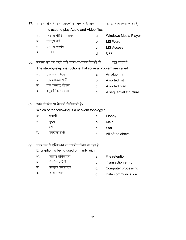|     | ब.   | एमएस वर्ड                                                            | b.      | <b>MS Word</b>         |
|-----|------|----------------------------------------------------------------------|---------|------------------------|
|     | स. ज | एमएस एक्सेस                                                          | C.      | <b>MS Access</b>       |
|     | द.   | सी ++                                                                | d.      | $C++$                  |
| 88. |      | समस्या को हल करने वाले चरण-दर-चरण निर्देशों को ____ कहा जाता है।     |         |                        |
|     |      | The step-by-step instructions that solve a problem are called _____. |         |                        |
|     | अ.   | एक एल्गोरिदम                                                         | a.      | An algorithm           |
|     |      | ब. एक क्रमबद्ध सूची                                                  | b.      | A sorted list          |
|     |      | स. एक क्रमबद्ध योजना                                                 | C.      | A sorted plan          |
|     | द.   | अनुक्रमिक संरचना                                                     | d.      | A sequential structure |
|     |      |                                                                      |         |                        |
| 89. |      | इनमें से कौन सा नेटवर्क टोपोलॉजी है?                                 |         |                        |
|     |      | Which of the following is a network topology?                        |         |                        |
|     | अ.   | फ्लॉपी                                                               | a.      | Floppy                 |
|     | ब.   | मुख्य                                                                | b.      | Main                   |
|     | स.   | स्टार                                                                | $C_{-}$ | <b>Star</b>            |
|     | द.   | उपरोक्त सभी                                                          | d.      | All of the above       |
|     |      |                                                                      |         |                        |
| 90. |      | मुख्य रूप से एन्क्रिप्शन का उपयोग किया जा रहा है                     |         |                        |
|     |      | Encryption is being used primarily with                              |         |                        |
|     | अ.   | फ़ाइल प्रतिधारण                                                      | a.      | File retention         |
|     |      |                                                                      |         |                        |

87. ऑडियो और वीडियो फ़ाइलों को चलाने के लिए \_\_\_\_\_\_ का उपयोग किया जाता है

a. Windows Media Player

is used to play Audio and Video files

अ. विंडोज मीडिया प्लेयर

- ब. लेनदेन प्रविष्टि
- स. कंप्यूटर पर्संस्करण b. Transaction entry c. Computer processing
- द. डाटा संचार d. Data communication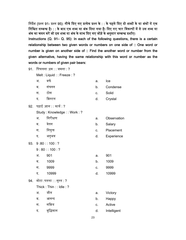निर्देश (प्रश्न 91- प्रश्न 95): नीचे दिए गए प्रत्येक प्रश्न के : : के पहले दिए दो शब्दों के या अंकों में एक निश्चित सम्बन्ध है। : : के बाद एक शब्द या अंक दिया गया है। दिए गए चार विकल्पों में से उस शब्द या अंक का चयन करें जो इस शब्द या अंक के साथ दिए गए जोड़े के अनुसार सम्बन्ध दर्शाए। Instructions (Q. 91– Q. 95): In each of the following questions, there is a certain relationship between two given words or numbers on one side of :: One word or number is given on another side of :: Find the another word or number from the given alternative, having the same relationship with this word or number as the words or numbers of given pair bears:

 $91$  पिघलना  $:$ दव $\cdot \cdot$  जमना  $\cdot$  ?

Melt : Liquid : : Freeze : ?

- अ. बर्फ
- ब. संघनन
- स. ठोस
- द. क्रिस्टल
- $92.$  पढ़ाई :ज्ञान : : कार्य : ?

Study : Knowledge : : Work : ?

- अ. िनरीक्षण
- ब. वेतन
- स. नियुक्त
- द. अनुभव
- 93. 9 :80 : : 100 : ?
	- $9:80:100:?$
	- अ. 901
	- ब. 1009 b. 1009
	- स. 9999
	- द. 10999
- 94. मोटा :पतला : : सुस्त : ? Thick : Thin : : Idle : ?
	-
	- अ. जीत
	- ब. आनन्द
	- स. सिकर्य
	- द. बुद्धिमान
- a. Ice
- b. Condense
- c. Solid
- d. Crystal
- a. Observation
- b. Salary
- c. Placement
- d. Experience
- a. 901
- 
- c. 9999
- d. 10999
- a. Victory
- b. Happy
- c. Active
- d. Intelligent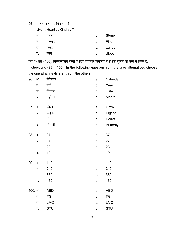$95.$  लीवर :हृदय : : किडनी : ?

Liver : Heart : : Kindly : ?

| अ. | पथरी   | a. | Stone        |
|----|--------|----|--------------|
| ब. | फिल्टर | b. | Filter       |
| स. | फेफड़े |    | c. Lungs     |
| द. | र क्त  | d. | <b>Blood</b> |

<u>निर्देश ( 96 - 100): निम्नलिखित प्रश्नों के दिए गए चार विकल्पों में से उसे चुनिए जो अन्य से भिन्न है:</u> Instructions (96 – 100): In the following question from the give alternatives choose the one which is different from the others:

| 96.     | अ. | कैलेण्डर   | a. | Calendar         |
|---------|----|------------|----|------------------|
|         | ब. | वर्ष       | b. | Year             |
|         | स. | दिनांक     | C. | Date             |
|         | द. | महीना      | d. | Month            |
|         |    |            |    |                  |
| 97.     | अ. | कौआ        | a. | Crow             |
|         | ब. | कबूतर      | b. | Pigeon           |
|         | स. | तोता       | C. | Parrot           |
|         | द. | तितली      | d. | <b>Butterfly</b> |
|         |    |            |    |                  |
| 98.     | अ. | 37         | a. | 37               |
|         | ब. | 27         | b. | 27               |
|         | स. | 23         | c. | 23               |
|         | द. | 19         | d. | 19               |
| 99.     | अ. | 140        | a. | 140              |
|         | ब. | 240        | b. | 240              |
|         | स. | 360        | C. | 360              |
|         | द. | 480        | d. | 480              |
| 100. अ. |    | <b>ABD</b> | a. | <b>ABD</b>       |
|         | ब. | <b>FGI</b> | b. | FGI              |
|         |    |            |    |                  |
|         | स. | <b>LMO</b> | C. | <b>LMO</b>       |
|         | द. | STU        | d. | <b>STU</b>       |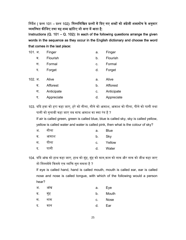निर्देश ( प्रश्न 101 – प्रश्न 102): निम्नलिखित प्रश्नों में दिए गए शब्दों को अंग्रेजी शब्दकोष के अनुसार व्यवस्थित कीजिए तथा वह शब्द छांटिए जो अन्त में आता है:

Instructions (Q. 101 – Q. 102): In each of the following questions arrange the given words in the sequence as they occur in the English dictionary and choose the word that comes in the last place:

| 101. अ. | Finger     | a. | Finger     |
|---------|------------|----|------------|
| ब.      | Flourish   | b. | Flourish   |
| स.      | Formal     | c. | Formal     |
| द.      | Forget     | d. | Forget     |
| 102. अ. | Alive      | a. | Alive      |
| ब.      | Afforest   | b. | Afforest   |
| स.      | Anticipate | c. | Anticipate |
| द.      | Appreciate | d. | Appreciate |

103. यिद हवा को हरा कहा जाए, हरे को नीला, नीले को आकाश, आकाश को पीला, पीले को पानी तथा पानी को गुलाबी कहा जाए तब साफ आकाश का क्या रंग है ? If air is called green, green is called blue, blue is called sky, sky is called yellow, yellow is called water and water is called pink, then what is the colour of sky?

| अ. | नीला | а.          | <b>Blue</b> |
|----|------|-------------|-------------|
| ब. | आकाश | b.          | Sky         |
| स. | पीला | $C_{\rm L}$ | Yellow      |
| द. | पानी | d.          | Water       |

104. यिद आंख को हाथ कहा जाए, हाथ को मुंह, मुंह को कान,कान को नाक और नाक को जीभ कहा जाए तो निम्नमेंसे किससे एक व्यक्ति सुन सकता है ?

If eye is called hand, hand is called mouth, mouth is called ear, ear is called nose and nose is called tongue, with which of the following would a person hear?

| अ. | $\cdot$<br>आख | a. | Eye   |
|----|---------------|----|-------|
| ब. | मुह           | b. | Mouth |
| स. | नाक           | C. | Nose  |
| द. | कान           | d. | Ear   |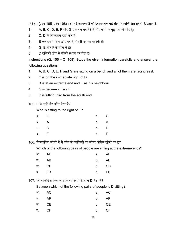### त्तिर्देश : (प्रश्न 105–प्रश्न 108) : दी गई जानकारी को ध्यानपूर्वक पढ़ें और निम्नलिखित प्रश्नों के उत्तर दें:

- 1. A, B, C, D, E, F और G एक बेंच पर बैठे हैं और सभी के मुंह पूर्व की ओर हैं।
- 2. C, D के निकटतम दाईं ओर है।
- 3. B एक दम अंतिम छोर पर है और E उसका पड़ोसी है।
- $4.$  G, E और F के बीच में है।
- 5. D दक्षिणी छोर से तीसरे स्थान पर बैठा है।

## Instructions (Q. 105 – Q. 108): Study the given information carefully and answer the following questions:

- 1. A, B, C, D, E, F and G are sitting on a bench and all of them are facing east.
- 2. C is on the immediate right of D.
- 3. B is at an extreme end and E as his neighbour.
- 4. G is between E an F.
- 5. D is sitting third from the south end.
- 105. E के दाईं ओर कौन बैठा ह? ै

Who is sitting to the right of E?

|                              | a. G |
|------------------------------|------|
|                              | b. A |
|                              | c. D |
|                              | d. F |
| अ. G<br>ब. A<br>स. D<br>द. F |      |

106. निम्नांकित जोड़ों में से कौन से व्यक्तियों का जोड़ा अंतिम छोरों पर है?

Which of the following pairs of people are sitting at the extreme ends?

| अ. AE |  | a. AE |
|-------|--|-------|
| ब. AB |  | b. AB |
| स. CB |  | c. CB |
| द. FB |  | d. FB |

107. निम्नलिखित किस जोड़े के व्यक्तियों के बीच D बैठा है?

Between which of the following pairs of people is D sitting?

|  | अ. AC | a. AC |       |
|--|-------|-------|-------|
|  | ब. AF | b. AF |       |
|  | स. CE |       | c. CE |
|  | द. CF | d. CF |       |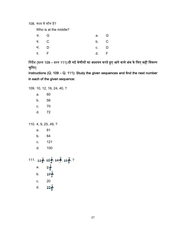108. मध्य में कौन है?

Who is at the middle?

| अ. G | a. G   |  |
|------|--------|--|
| ब. C | b. C   |  |
| स. D | $C.$ D |  |
| द. F | d. F   |  |

त्तिर्देश (प्रश्न 109 – प्रश्न 111):दी गई श्रेणीयों का अध्ययन करते हुए आने वाले अंक के लिए सही विकल्प चुनिए:

Instructions (Q. 109 – Q. 111): Study the given sequences and find the next number in each of the given sequence:

109. 10, 12, 16, 24, 40, ? a. 60 b. 56 c. 70 d. 72

110. 4, 9, 25, 49, ?

 a. 81 b. 64 c. 121 d. 100

111.  $11\frac{1}{9}$ ,  $12\frac{1}{2}$ ,  $14\frac{2}{7}$ ,  $16\frac{2}{3}$ , ?  $8\frac{1}{3}$ a.  $19\frac{1}{2}$ b. c. 20 d.  $22\frac{1}{3}$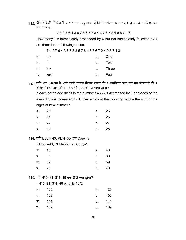112. दी गई श्रेणी में कितनी बार 7 इस तरह आया है कि 6 उसके एकदम पहले हो पर 4 उसके एकदम बाद में न हो:

7 4 2 7 6 4 3 6 7 5 3 5 7 8 4 3 7 6 7 2 4 0 6 7 4 3

How many 7 s immediately proceeded by 6 but not immediately followed by 4 are there in the following series:

7 4 2 7 6 4 3 6 7 5 3 5 7 8 4 3 7 6 7 2 4 0 6 7 4 3

| अ. | ा एक   |    | a. One   |
|----|--------|----|----------|
| ब. | दो     |    | b. Two   |
|    | स. तीन |    | c. Three |
| द. | चार    | d. | Four     |

113. यदि अंक 54638 में आने वाली प्रत्येक विषम संख्या को 1 कमकिया जाए एवं सम संख्याओं को 1 अधिक किया जाए तो नए अंक की संख्याओं का योगा होगा :

If each of the odd digits in the number 54638 is decreased by 1 and each of the even digits is increased by 1, then which of the following will be the sum of the digits of new number :

| अ. 25 | a. 25   |  |
|-------|---------|--|
| ब. 26 | b. 26   |  |
| स. 27 | c. $27$ |  |
| द. 28 | d. 28   |  |

114. यिद Book=43, PEN=35 तब Copy=?

If Book=43, PEN=35 then Copy=?

| अ. 48 | a.          | 48  |
|-------|-------------|-----|
| ब. 60 | $n_{\rm m}$ | -60 |
| स. 59 | v. 59       |     |
| द. 79 | d. 79       |     |
|       |             |     |

115. यदि 4\*5=81; 3\*4=49 तब10\*2 क्या होगा?

If 4\*5=81; 3\*4=49 what is 10\*2

| अ. 120 | a. 120 |  |
|--------|--------|--|
| ब. 102 | b. 102 |  |
| स. 144 | c. 144 |  |
| द. 169 | d. 169 |  |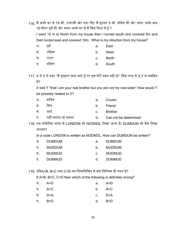- 116. मैं अपने घर से 15 मी. उत्तरकी ओर गया फिर मैं मुड़कर 5 मी. दक्षिण की ओर चला। उसके बाद 10 मीटर पूर्व की ओर चला। अपने घर से मैं किस दिशा में हूँ ? I went 15 m to North from my house then I turned south and covered 5m and then turned east and covered 10m. What is my direction from my house? अ. पूर्व ब. पश्चिम स. उत्तर a. East b. West c. North
	- द. दिक्षण d. South
- 117. X ने Y से कहा ''मैं तुम्हारा सगा भाई हूँ पर तुम मेरी बहन नहीं हो'' किस तरह से X,Y से सबंधित है?

X told Y "that I am your real brother but you are not my real sister" How would Y be possibly related to X?

| $3\Gamma$ | कजिन    | a. Cousin          |
|-----------|---------|--------------------|
|           | $+ + -$ | المستحدث والمستناة |

- ब. मित्र b. Friend
- स. भाई c. Brother
- द. नहीं बताया जा सकता d. Can not be determined

118. एक सांकेतिक भाषा में LONDON को NODNOL लिखा जाता है। DUMDUM को कैसे लिखा जाएगा?

In a code LONDON is written as NODNOL, How can DUMDUM be written?

| अ. | DUMDUM        | а.          | <b>DUMDUM</b> |
|----|---------------|-------------|---------------|
| ਕ  | MUDDUM        | b.          | <b>MUDDUM</b> |
| स  | <b>MUDMUD</b> | $C_{\cdot}$ | <b>MUDMUD</b> |
| ट  | <b>DUMMUD</b> | d.          | DUMMUD        |

119. यदिA>B, B>C तथा C>D तब निम्नलिखित में क्या निश्चित ही गलत है?

If A>B, B>C, C>D then which of the following is definitely wrong?

| अ. A>D   | a. $A > D$ |  |
|----------|------------|--|
| ब. A>C   | $b.$ A>C   |  |
| स. D>A   | c. D>A     |  |
| द. $B>D$ | d. $B> D$  |  |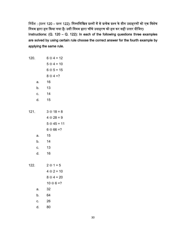त्तिर्देश : (प्रश्न 120 – प्रश्न 122): निम्नलिखित प्रश्नों में से प्रत्येक प्रश्न के तीन उदाहरणों को एक विशेष नियम द्वारा हल किया गया है। उसी नियम द्वारा चौथे उदाहरण को हल कर सही उत्तर दीजिए। Instructions:  $(Q. 120 - Q. 122)$ : In each of the following questions three examples are solved by using certain rule choose the correct answer for the fourth example by applying the same rule.

| 120. |    | $6 \oplus 4 = 12$  |
|------|----|--------------------|
|      |    | $5 \oplus 4 = 10$  |
|      |    | $6 \oplus 5 = 15$  |
|      |    | $8 \oplus 4 = ?$   |
|      | a. | 16                 |
|      | b. | 13                 |
|      | C. | 14                 |
|      | d. | 15                 |
|      |    |                    |
| 121. |    | $3 \oplus 18 = 8$  |
|      |    | $4 \oplus 28 = 9$  |
|      |    | $5 \oplus 45 = 11$ |
|      |    | $6 \oplus 66 = ?$  |
|      | a. | 15                 |
|      | b. | 14                 |
|      | c. | 13                 |
|      | d. | 16                 |
|      |    |                    |
| 122. |    | $2 \oplus 1 = 5$   |
|      |    | $4 \oplus 2 = 10$  |
|      |    | $8 \oplus 4 = 20$  |
|      |    | $10 \oplus 6 = ?$  |
|      | a. | 32                 |
|      | b. | 64                 |
|      | C. | 26                 |
|      | d. | 80                 |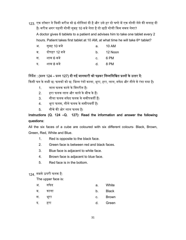123. एक डॉक्टर ने किसी मरीज को 6 गोलियां दी है और उसे हर दो घण्टे में एक गोली लेने की सलाह दी है। मरीज अगर पहली गोली सुबह 10 बजे लेता है तो छठी गोली किस समय लेगा? A doctor gives 6 tablets to a patient and advises him to take one tablet every 2 hours. Patient takes first tablet at 10 AM, at what time he will take 6<sup>th</sup> tablet?  $\pi\pi\pi$  10  $\pi\rightarrow$ a. 10 AM

| . सबहा∪ बज      | a. IU-AIVI             |
|-----------------|------------------------|
| ब. दोपहर 12 बजे | $b.$ 12 Noon           |
| स. शाम 6 बजे    | c. 6 PM                |
| द. शाम 8 बजे    | $d \quad 8 \text{ PM}$ |

## त्निर्देश : (प्रश्न 124 – प्रश्न 127) दी गई जानकारी को पढ़कर निम्नलिखित प्रश्नों के उत्तर दें:

किसी घन के सभी छ: फलकों को छ: भिन्न रंगों काला, भूरा, हरा, लाल, सफेद और नीले से रंगा गया है।

- 1. लाल फलक काले के विपरीत है।
- 2. हरा फलक लाल और काले के बीच के हैं।
- 3. नीला फलक सफेद फलक के समीपवर्ती हैं।
- 4. भूरा फलक, नीले फलक के समीपवर्ती है।
- 5. नीचे की ओर लाल फलक ह। ै

## Instructions (Q. 124 –Q. 127): Read the information and answer the following questions:

All the six faces of a cube are coloured with six different colours- Black, Brown, Green, Red, White and Blue.

- 1. Red is opposite to the black face.
- 2. Green face is between red and black faces.
- 3. Blue face is adjacent to white face.
- 4. Brown face is adjacent to blue face.
- 5. Red face is in the bottom.

#### 124. सबसे ऊपरी फलक ह: ै

The upper face is:

| ડન | सफद |  | White |
|----|-----|--|-------|
|----|-----|--|-------|

- ब. काला b. Black
- स. भूरा c. Brown
- द. हरा d. Green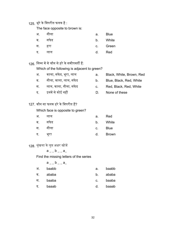## 125. भूरे के विपरीत फलक है :

The face opposite to brown is:

| अ. | नीला | а.          | <b>Blue</b> |
|----|------|-------------|-------------|
| ब. | सफेद | $b_{\cdot}$ | White       |
| स. | हरा  |             | c. Green    |
| द. | लाल  | d.          | Red         |

## 126. निम्न में से कौन से हरे के समीपवर्ती हैं:

Which of the following is adjacent to green?

- अ. काला, सफेद, भूरा, लाल
- ब. नीला, काला, लाल, सफेद
- स. लाल, काला, नीला, सफेद
- द. इनमें से कोई नहीं
- 127. कौन सा फलक हरे के विपरीत हैं?

Which face is opposite to green?

| अ. | लाल  | a.          | Red          |
|----|------|-------------|--------------|
| ब. | सफेद | $b_{\cdot}$ | White        |
| स. | नीला | C.          | <b>Blue</b>  |
| द. | मूरा | d.          | <b>Brown</b> |

128. श्रृंखला के लुप्त अक्षर खोजें

 $a_{--}b_{--}a_{-}$ 

Find the missing letters of the series

|    | $a_ - b_ - a_-$ |                |       |
|----|-----------------|----------------|-------|
| अ. | baabb           | a.             | baabb |
| ৰ. | ababa           | b.             | ababa |
| स. | baaba           | $\mathbf{C}$ . | baaba |
| द. | baaab           | d.             | baaab |

- a. Black, White, Brown, Red
- b. Blue, Black, Red, White
- c. Red, Black, Red, White
- D. None of these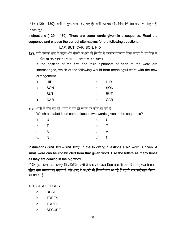त्तिर्देश (129 - 130): श्रेणी में कुछ शब्द दिए गए हैं। श्रेणी को पढ़ें और निम्न लिखित प्रश्नों के लिए सही विकल्प चुनें:

Instructions (129 – 130): There are some words given in a sequence. Read the sequence and choose the correct alternatives for the following questions:

LAP, BUT, CAR, SON, HID

129. यदि प्रत्येक शब्द के पहले और तीसरे अक्षरों की स्थिति में परस्पर बदलाव किया जाता है, तो निम्न में से कौन सा नई ᳞वस्था के साथ साथर्क शब्द बन जाएगा ।

If the position of the first and third alphabets of each of the word are interchanged, which of the following would form meaningful word with the new arrangement.

|  | अ. HID |  | a. HID |
|--|--------|--|--------|
|  | ब. SON |  | b. SON |
|  | स. BUT |  | c. BUT |
|  | द. CAR |  | d. CAR |

130. श्रेणी में दिए गए दो शब्दों में एक ही स्थान पर कौन सा वर्ण है।

Which alphabet is on same place in two words given in the sequence?

| अ. U | a. U |  |
|------|------|--|
| ब. T | b. T |  |
| स. A | c. A |  |
| द. N | d. N |  |

Instructions (प्रश्न 131 – प्रश्न 132): In the following questions a big word is given. A small word can be constructed from that given word. Use the letters as many times as they are coming in the big word.

निर्देश (Q. 131 –Q. 132): निम्नलिखित प्रश्नों में एक बड़ा शब्द दिया गया है। उस दिए गए शब्द से एक छोटा शब्द बनाया जा सकता है। बड़े शब्द के अक्षरों को जितनी बार आ रहे हैं उतनी बार इस्तेमाल किया जा सकता है।

131. STRUCTURES

- a. REST
- b. TREES
- c. TRUTH
- d. SECURE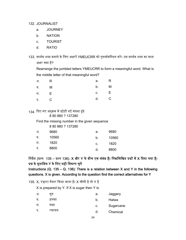132. JOURNALIST

- a. JOURNEY
- b. NATION
- c. TOURIST
- d. RATIO

133. सार्थक शब्द बनाने के लिए अक्षरों YMEUCRR को पुनर्व्यवस्थित करें। उस सार्थक शब्द का मध्य अक्षर क्या ह? ै

Rearrange the jumbled letters YMEUCRR to form a meaningful word. What is the middle letter of that meaningful word?

| अ. R        | a. R   |  |
|-------------|--------|--|
| ब. M        | b. M   |  |
| स. <b>E</b> | $c.$ E |  |
| द. C        | d. C   |  |

134. दिए गए अनुक्रम में छोड़ी गई संख्या ढूंढे 8 80 880 ? 137280

Find the missing number in the given sequence

8 80 880 ? 137280

| अ. | 9680  | а. | 9680  |
|----|-------|----|-------|
| ब. | 10560 | b. | 10560 |
| स. | 1820  | c. | 1820  |
| द. | 8800  | d. | 8800  |

निर्देश (प्रश्न 135 – प्रश्न 136): X और Y के बीच एक संबंध है। निम्नलिखित प्रश्नों में X दिया गया है। प्रश्न के मताबिक Y के लिए सही विकल्प चुनें

Instructions (Q. 135 – Q. 136): There is a relation between X and Y in the following questions. X is given. According to the question find the correct alternatives for Y

135. X, Yद्वारा तैयार किया जाता है। X चीनी है तो Y है

X is prepared by Y. If X is sugar then Y is

| अ. | गड़   | а. | Jaggery   |
|----|-------|----|-----------|
| ब. | हलवा  | b. | Halwa     |
| स. | गन्ना | c. | Sugarcane |
| द. | रसायन | d. | Chemical  |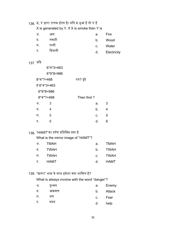# 136. X, Y द्वारा उत्पन्न होता है। यदि X धुआं है तो Y है

X is generated by Y. If X is smoke then Y is

| अ. | आग    | . а. | Fire |
|----|-------|------|------|
| ब. | लकड़ी |      | Wood |

- स. पानी c. Water
- द. िबजली d. Electricity

# 137. यिद

|    | $6*4*3=463$    |             |   |
|----|----------------|-------------|---|
|    | $6*9*8=986$    |             |   |
|    | $8*4*? = 468$  | तब? ढूंढे   |   |
|    | If $6*4*3=463$ |             |   |
|    | $6*9*8=986$    |             |   |
|    | $8*4*? = 468$  | Then find ? |   |
| अ. | 3              | a.          | 3 |
| ब. | 4              | b.          | 4 |
| स. | 5              | C.          | 5 |
| द. | 6              | d.          | 6 |

# 138. "HAMT"का दर्पण प्रतिबिंब क्या है

What is the mirror image of "HAMT"?

| अ. TMAH | а. – | TMAH    |
|---------|------|---------|
| ब. TWAH |      | b. TWAH |
| स. TWAH |      | c. TWAH |
| द. HAMT |      | d. HAMT |

139. "खतरा" शब्द के साथ हमेशा क्या शािमल ह? ै

What is always involve with the word "danger"?

| अ. | दुश्मन | а. | Enemy  |
|----|--------|----|--------|
| ब. | आक्रमण | b. | Attack |
| स. | भय     | C. | Fear   |
| द. | मदद    | d. | help   |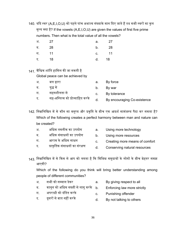140. यदि स्वर (A,E,I,O,U) को पहले पांच अभाज्य संख्याके मान दिए जाते हैं तब सभी स्वरों का कुल मूल्य क्या है? If the vowels (A,E,I,O,U) are given the values of first five prime numbers. Then what is the total value of all the vowels?

| अ. 27 | а. – | - 27    |
|-------|------|---------|
| ब. 28 |      | b. 28   |
| स. 11 |      | $c.$ 11 |
| द. 18 |      | d. 18   |

 $141$  वैश्विक शांति हासिल की जा सकती है Global peace can be achieved by

| अ. | बल द्वारा                       | а. | By force                    |
|----|---------------------------------|----|-----------------------------|
| ब. | यद्ध स                          | b. | By war                      |
| स. | सहनशीलता से                     | C. | By tolerance                |
| द. | सह-अस्तित्व को प्रोत्साहित करके |    | By encouraging Co-existence |

- 142. निम्नलिखित में से कौन सा मनुष्य और प्रकृति के बीच एक आदर्श सामंजस्य पैदा कर सकता है? Which of the following creates a perfect harmony between man and nature can be created?
	- अ. अिधक तकनीक का उपयोग
	- ब. अधिक संसाधनों का उपयोग
	- स. आराम के अिधक साधन
	- द. प्राकृतिक संसाधनों का संरक्षण
- a. Using more technology
- b. Using more resources
- c. Creating more means of comfort
- d. Conserving natural resources
- 143. निम्नलिखित में से किस से आप को लगता है कि विभिन्न समुदायों के लोगों के बीच बेहतर समझ आएगी?

Which of the following do you think will bring better understanding among people of different communities?

- अ. सभी को सम्मान देकर a. By giving respect to all
- ब. कानून को अधिक सख्ती से लागू करके b. Enforcing law more strictly
- स. अपराधी को दंडित करके
- द. दूसरों से बात नहीं करके
- c. Punishing offender
	- d. By not talking to others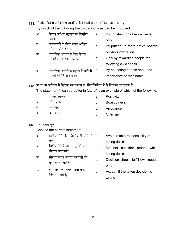## 144. निम्नलिखित में से किस से नागरिक स्थितियों में सुधार किया जा सकता है

By which of the following the civic conditions can be improved

- अ. केवल अधिक सड़कों का निर्माण करके ब. जानकारी के िलए केवल अिधक नोटिस बोर्ड रख कर स. नागरिक आदतों के लिए केवल लोगों को पुरस्कृत करके द. नागरिक आदतों के महत्व के बारे में लोगों को शिक्षित करके a. By construction of more roads only b. By putting up more notice boards onlyfor information c. Only by rewarding people for following civic habits d. By educating people about the importance of civic habit 145. कथन "मैं भविष्य में बेहतर कर सकता हूं" निम्नलिखित में से किसका उदाहरण है: The statement "I can do better in future" is an example of which of the following: अ. सकारात्मकता ब. डींग हांकना a. Positivity b. Boastfulness
	- स. अहंकार c. Arrogance
	- द. आलोचना d. Criticism

## $146.$  सही कथन चुनें:

Choose the correct statement:

- अ. निर्णय लेने की ज़िम्मेदारी लेने से a. बचें taking decision.
- ब. निर्णय लेने के दौरान दूसरों पर िवचार मत करो.
- स. निर्णय केवल अपनी जरूरतों को पूरा करना चाहिए.
- द. स्वीकार करें, अगर लिया गया िनणर्य गलत है
- Avoid to take responsibility of
- b. Do not consider others while taking decision
- c. Decision should fulfill own needs only
- d. Accept, if the taken decision is wrong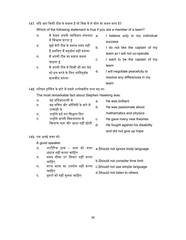#### 147. यदि आप किसी टीम के सदस्य हैं तो निम्न में से कौन सा कथन सत्य है?

Which of the following statement is true if you are a member of a team?

- अ. मैं केवल अपनी व्यक्तिगत सफलता a. में विश्वास करता हूं I believe only in my individual
- ब. सुझे मेरी टीम के कप्तान पसंद नहीं हैं इसलिए मैं सहयोग नहीं करूंगा
- स. मैं अपनी टीम का कप्तान बनना चाहता हं
- द. मैं अपनी टीम में किसी भी मत भेद को हल करने के िलए शांितपूवर्क बातचीत करूंगा
- success b. I do not like the captain of my
- team so I will not co-operate
- c. I want to be the captain of my team
- d. I will negotiate peacefully to resolve any differences in my team

148. स्टीफन हॉकिंग के बारे में सबसे उल्लेखनीय तथ्य यह था:

The most remarkable fact about Stephen Hawking was:

- अ. वह प्रतिभाशाली थे a. He was brilliant
- ब. वह गणित और भौतिकी के बारे में उत्साही थे
- स. उन्होंने कई नए सिद्धांत दिए
- द. उन्होंने अपनी विकलांगता के खिलाफ लड़ा और आशा नहीं छोड़ी
- 
- b. He was passionate about mathematics and physics
	- c. He gave many new theories
	- d. He fought against his disability and did not give up hope

#### 149. एक अच्छे वक्ता को:

A good speaker

- अ. शारीिरक हाव भाव को नजर a.Should not ignore body language अंदाज नहीं करना चाहिए
- ब. समय सीमा पर विचार नहीं करना चाहिए
- स. सरल भाषा का उपयोग नहᱭ करना c.Should not use simple language चाहिए
- द. दूसरों को नहीं सुनना चाहिए
- b.Should not consider time limit
- 
- d.Should not listen to others